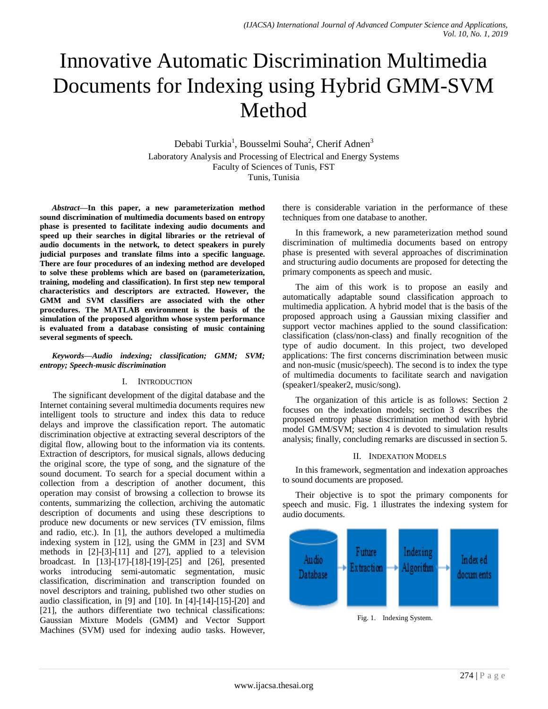# Innovative Automatic Discrimination Multimedia Documents for Indexing using Hybrid GMM-SVM Method

Debabi Turkia<sup>1</sup>, Bousselmi Souha<sup>2</sup>, Cherif Adnen<sup>3</sup> Laboratory Analysis and Processing of Electrical and Energy Systems Faculty of Sciences of Tunis, FST Tunis, Tunisia

*Abstract***—In this paper, a new parameterization method sound discrimination of multimedia documents based on entropy phase is presented to facilitate indexing audio documents and speed up their searches in digital libraries or the retrieval of audio documents in the network, to detect speakers in purely judicial purposes and translate films into a specific language. There are four procedures of an indexing method are developed to solve these problems which are based on (parameterization, training, modeling and classification). In first step new temporal characteristics and descriptors are extracted. However, the GMM and SVM classifiers are associated with the other procedures. The MATLAB environment is the basis of the simulation of the proposed algorithm whose system performance is evaluated from a database consisting of music containing several segments of speech.**

## *Keywords—Audio indexing; classification; GMM; SVM; entropy; Speech-music discrimination*

# I. INTRODUCTION

The significant development of the digital database and the Internet containing several multimedia documents requires new intelligent tools to structure and index this data to reduce delays and improve the classification report. The automatic discrimination objective at extracting several descriptors of the digital flow, allowing bout to the information via its contents. Extraction of descriptors, for musical signals, allows deducing the original score, the type of song, and the signature of the sound document. To search for a special document within a collection from a description of another document, this operation may consist of browsing a collection to browse its contents, summarizing the collection, archiving the automatic description of documents and using these descriptions to produce new documents or new services (TV emission, films and radio, etc.). In [1], the authors developed a multimedia indexing system in [12], using the GMM in [23] and SVM methods in [2]-[3]-[11] and [27], applied to a television broadcast. In [13]-[17]-[18]-[19]-[25] and [26], presented works introducing semi-automatic segmentation, music classification, discrimination and transcription founded on novel descriptors and training, published two other studies on audio classification, in [9] and [10]. In [4]-[14]-[15]-[20] and [21], the authors differentiate two technical classifications: Gaussian Mixture Models (GMM) and Vector Support Machines (SVM) used for indexing audio tasks. However,

there is considerable variation in the performance of these techniques from one database to another.

In this framework, a new parameterization method sound discrimination of multimedia documents based on entropy phase is presented with several approaches of discrimination and structuring audio documents are proposed for detecting the primary components as speech and music.

The aim of this work is to propose an easily and automatically adaptable sound classification approach to multimedia application. A hybrid model that is the basis of the proposed approach using a Gaussian mixing classifier and support vector machines applied to the sound classification: classification (class/non-class) and finally recognition of the type of audio document. In this project, two developed applications: The first concerns discrimination between music and non-music (music/speech). The second is to index the type of multimedia documents to facilitate search and navigation (speaker1/speaker2, music/song).

The organization of this article is as follows: Section 2 focuses on the indexation models; section 3 describes the proposed entropy phase discrimination method with hybrid model GMM/SVM; section 4 is devoted to simulation results analysis; finally, concluding remarks are discussed in section 5.

# II. INDEXATION MODELS

In this framework, segmentation and indexation approaches to sound documents are proposed.

Their objective is to spot the primary components for speech and music. Fig. 1 illustrates the indexing system for audio documents.



Fig. 1. Indexing System.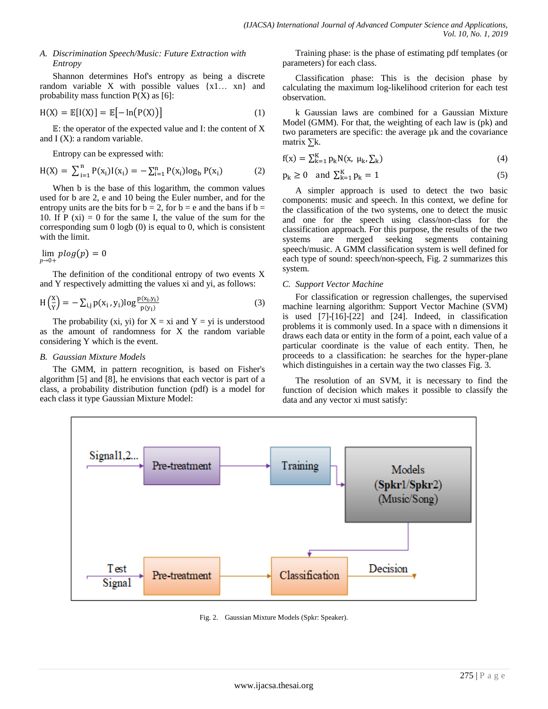# *A. Discrimination Speech/Music: Future Extraction with Entropy*

Shannon determines Hof's entropy as being a discrete random variable X with possible values {x1… xn} and probability mass function  $P(X)$  as [6]:

$$
H(X) = \mathbb{E}[I(X)] = \mathbb{E}[-\ln(P(X))]
$$
\n(1)

 $E$ : the operator of the expected value and I: the content of X and  $I(X)$ : a random variable.

Entropy can be expressed with:

$$
H(X) = \sum_{i=1}^{n} P(x_i)I(x_i) = -\sum_{i=1}^{n} P(x_i)log_b P(x_i)
$$
 (2)

When b is the base of this logarithm, the common values used for b are 2, e and 10 being the Euler number, and for the entropy units are the bits for  $b = 2$ , for  $b = e$  and the bans if  $b =$ 10. If  $P (xi) = 0$  for the same I, the value of the sum for the corresponding sum 0 logb (0) is equal to 0, which is consistent with the limit.

$$
\lim_{p\to 0+} plog(p)=0
$$

The definition of the conditional entropy of two events X and Y respectively admitting the values xi and yi, as follows:

$$
H\left(\frac{x}{y}\right) = -\sum_{i,j} p(x_i, y_i) \log \frac{p(x_i, y_i)}{p(y_i)}
$$
(3)

The probability (xi, yi) for  $X = xi$  and  $Y = yi$  is understood as the amount of randomness for X the random variable considering Y which is the event.

#### *B. Gaussian Mixture Models*

The GMM, in pattern recognition, is based on Fisher's algorithm [5] and [8], he envisions that each vector is part of a class, a probability distribution function (pdf) is a model for each class it type Gaussian Mixture Model:

Training phase: is the phase of estimating pdf templates (or parameters) for each class.

Classification phase: This is the decision phase by calculating the maximum log-likelihood criterion for each test observation.

k Gaussian laws are combined for a Gaussian Mixture Model (GMM). For that, the weighting of each law is (pk) and two parameters are specific: the average µk and the covariance matrix ∑k.

$$
f(x) = \sum_{k=1}^{K} p_k N(x, \mu_k, \sum_k)
$$
\n(4)

$$
p_k \ge 0 \quad \text{and } \sum_{k=1}^{K} p_k = 1 \tag{5}
$$

A simpler approach is used to detect the two basic components: music and speech. In this context, we define for the classification of the two systems, one to detect the music and one for the speech using class/non-class for the classification approach. For this purpose, the results of the two systems are merged seeking segments containing speech/music. A GMM classification system is well defined for each type of sound: speech/non-speech, Fig. 2 summarizes this system.

## *C. Support Vector Machine*

For classification or regression challenges, the supervised machine learning algorithm: Support Vector Machine (SVM) is used  $[7]-[16]-[22]$  and  $[24]$ . Indeed, in classification problems it is commonly used. In a space with n dimensions it draws each data or entity in the form of a point, each value of a particular coordinate is the value of each entity. Then, he proceeds to a classification: he searches for the hyper-plane which distinguishes in a certain way the two classes Fig. 3.

The resolution of an SVM, it is necessary to find the function of decision which makes it possible to classify the data and any vector xi must satisfy:



Fig. 2. Gaussian Mixture Models (Spkr: Speaker).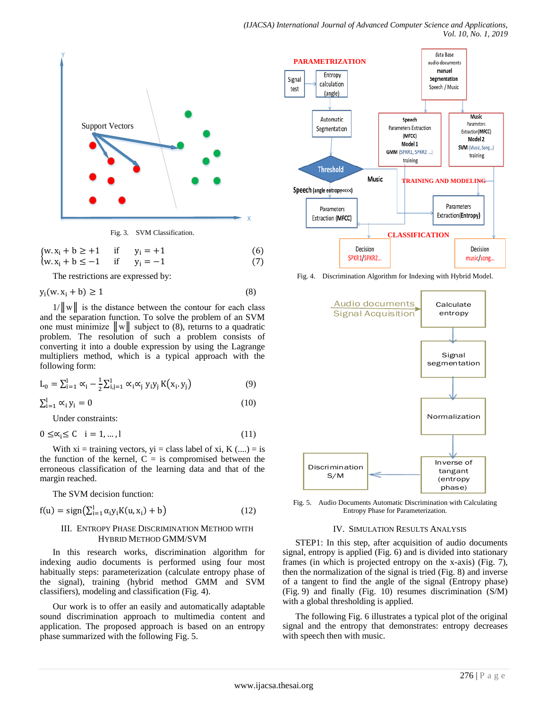

$$
\begin{cases} w.x_i + b \ge +1 & \text{if } y_i = +1 \\ w.x_i + b \le -1 & \text{if } y_i = -1 \end{cases}
$$
 (6)

The restrictions are expressed by:

$$
y_i(w, x_i + b) \ge 1 \tag{8}
$$

 $1/\|\mathbf{w}\|$  is the distance between the contour for each class and the separation function. To solve the problem of an SVM one must minimize  $\|w\|$  subject to (8), returns to a quadratic problem. The resolution of such a problem consists of converting it into a double expression by using the Lagrange multipliers method, which is a typical approach with the following form:

$$
L_0 = \sum_{i=1}^{l} \alpha_i - \frac{1}{2} \sum_{i,j=1}^{l} \alpha_i \alpha_j y_i y_j K(x_i, y_j)
$$
(9)

$$
\sum_{i=1}^{l} \alpha_i y_i = 0 \tag{10}
$$

Under constraints:

$$
0 \leq \alpha_i \leq C \quad i = 1, \dots, l \tag{11}
$$

With  $xi = training$  vectors,  $yi = class$  label of  $xi$ ,  $K$  (....) = is the function of the kernel,  $C = iS$  compromised between the erroneous classification of the learning data and that of the margin reached.

The SVM decision function:

$$
f(u) = sign\left(\sum_{i=1}^{l} \alpha_i y_i K(u, x_i) + b\right)
$$
\n(12)

## III. ENTROPY PHASE DISCRIMINATION METHOD WITH HYBRID METHOD GMM/SVM

In this research works, discrimination algorithm for indexing audio documents is performed using four most habitually steps: parameterization (calculate entropy phase of the signal), training (hybrid method GMM and SVM classifiers), modeling and classification (Fig. 4).

Our work is to offer an easily and automatically adaptable sound discrimination approach to multimedia content and application. The proposed approach is based on an entropy phase summarized with the following Fig. 5.



Fig. 4. Discrimination Algorithm for Indexing with Hybrid Model.



Fig. 5. Audio Documents Automatic Discrimination with Calculating Entropy Phase for Parameterization.

#### IV. SIMULATION RESULTS ANALYSIS

STEP1: In this step, after acquisition of audio documents signal, entropy is applied (Fig. 6) and is divided into stationary frames (in which is projected entropy on the x-axis) (Fig. 7), then the normalization of the signal is tried (Fig. 8) and inverse of a tangent to find the angle of the signal (Entropy phase) (Fig. 9) and finally (Fig. 10) resumes discrimination (S/M) with a global thresholding is applied.

The following Fig. 6 illustrates a typical plot of the original signal and the entropy that demonstrates: entropy decreases with speech then with music.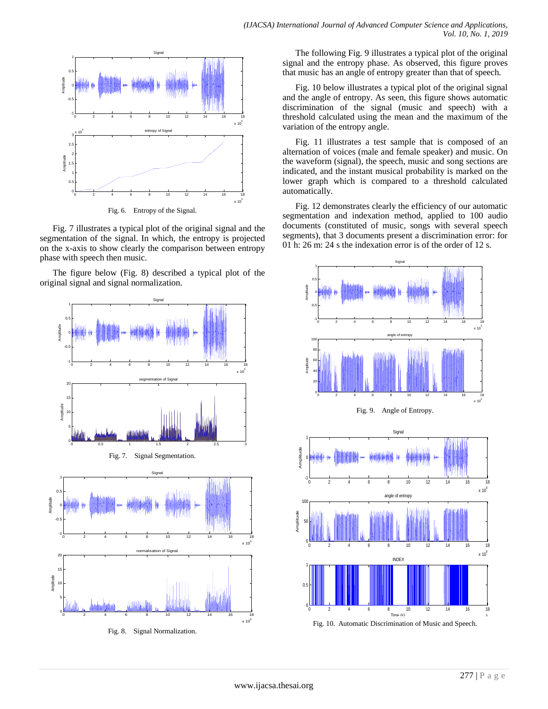

Fig. 7 illustrates a typical plot of the original signal and the segmentation of the signal. In which, the entropy is projected on the x-axis to show clearly the comparison between entropy phase with speech then music.

The figure below (Fig. 8) described a typical plot of the original signal and signal normalization.



Fig. 8. Signal Normalization.

The following Fig. 9 illustrates a typical plot of the original signal and the entropy phase. As observed, this figure proves that music has an angle of entropy greater than that of speech.

Fig. 10 below illustrates a typical plot of the original signal and the angle of entropy. As seen, this figure shows automatic discrimination of the signal (music and speech) with a threshold calculated using the mean and the maximum of the variation of the entropy angle.

Fig. 11 illustrates a test sample that is composed of an alternation of voices (male and female speaker) and music. On the waveform (signal), the speech, music and song sections are indicated, and the instant musical probability is marked on the lower graph which is compared to a threshold calculated automatically.

Fig. 12 demonstrates clearly the efficiency of our automatic segmentation and indexation method, applied to 100 audio documents (constituted of music, songs with several speech segments), that 3 documents present a discrimination error: for 01 h: 26 m: 24 s the indexation error is of the order of 12 s.

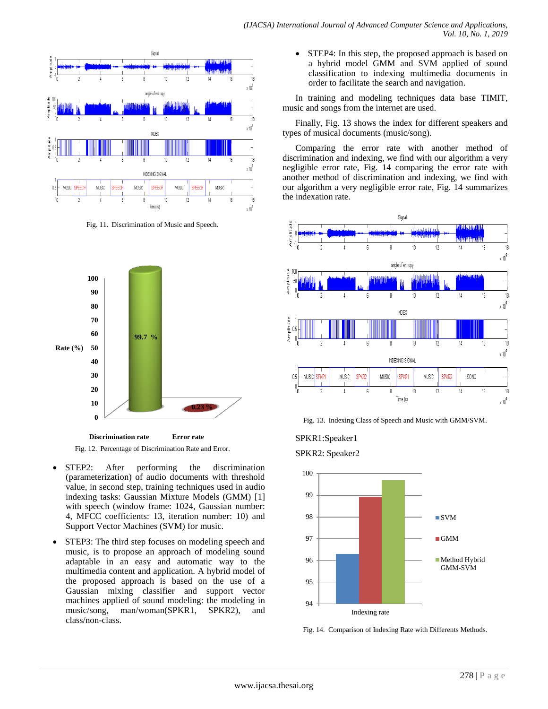

Fig. 11. Discrimination of Music and Speech.



Fig. 12. Percentage of Discrimination Rate and Error. **Discrimination rate Error rate**

- STEP2: After performing the discrimination (parameterization) of audio documents with threshold value, in second step, training techniques used in audio indexing tasks: Gaussian Mixture Models (GMM) [1] with speech (window frame: 1024, Gaussian number: 4, MFCC coefficients: 13, iteration number: 10) and Support Vector Machines (SVM) for music.
- STEP3: The third step focuses on modeling speech and music, is to propose an approach of modeling sound adaptable in an easy and automatic way to the multimedia content and application. A hybrid model of the proposed approach is based on the use of a Gaussian mixing classifier and support vector machines applied of sound modeling: the modeling in music/song, man/woman(SPKR1, SPKR2), and class/non-class.

• STEP4: In this step, the proposed approach is based on a hybrid model GMM and SVM applied of sound classification to indexing multimedia documents in order to facilitate the search and navigation.

In training and modeling techniques data base TIMIT, music and songs from the internet are used.

Finally, Fig. 13 shows the index for different speakers and types of musical documents (music/song).

Comparing the error rate with another method of discrimination and indexing, we find with our algorithm a very negligible error rate, Fig. 14 comparing the error rate with another method of discrimination and indexing, we find with our algorithm a very negligible error rate, Fig. 14 summarizes the indexation rate.



Fig. 13. Indexing Class of Speech and Music with GMM/SVM.



SPKR2: Speaker2



Fig. 14. Comparison of Indexing Rate with Differents Methods.